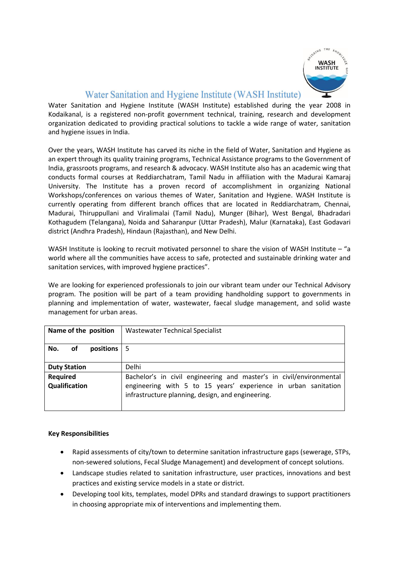

# Water Sanitation and Hygiene Institute (WASH Institute)

Water Sanitation and Hygiene Institute (WASH Institute) established during the year 2008 in Kodaikanal, is a registered non-profit government technical, training, research and development organization dedicated to providing practical solutions to tackle a wide range of water, sanitation and hygiene issues in India.

Over the years, WASH Institute has carved its niche in the field of Water, Sanitation and Hygiene as an expert through its quality training programs, Technical Assistance programs to the Government of India, grassroots programs, and research & advocacy. WASH Institute also has an academic wing that conducts formal courses at Reddiarchatram, Tamil Nadu in affiliation with the Madurai Kamaraj University. The Institute has a proven record of accomplishment in organizing National Workshops/conferences on various themes of Water, Sanitation and Hygiene. WASH Institute is currently operating from different branch offices that are located in Reddiarchatram, Chennai, Madurai, Thiruppullani and Viralimalai (Tamil Nadu), Munger (Bihar), West Bengal, Bhadradari Kothagudem (Telangana), Noida and Saharanpur (Uttar Pradesh), Malur (Karnataka), East Godavari district (Andhra Pradesh), Hindaun (Rajasthan), and New Delhi.

WASH Institute is looking to recruit motivated personnel to share the vision of WASH Institute – "a world where all the communities have access to safe, protected and sustainable drinking water and sanitation services, with improved hygiene practices".

We are looking for experienced professionals to join our vibrant team under our Technical Advisory program. The position will be part of a team providing handholding support to governments in planning and implementation of water, wastewater, faecal sludge management, and solid waste management for urban areas.

| Name of the position                   | <b>Wastewater Technical Specialist</b>                              |
|----------------------------------------|---------------------------------------------------------------------|
| of<br>positions $\vert 5 \vert$<br>No. |                                                                     |
| <b>Duty Station</b>                    | Delhi                                                               |
| Required                               | Bachelor's in civil engineering and master's in civil/environmental |
| Qualification                          | engineering with 5 to 15 years' experience in urban sanitation      |
|                                        | infrastructure planning, design, and engineering.                   |

## **Key Responsibilities**

- Rapid assessments of city/town to determine sanitation infrastructure gaps (sewerage, STPs, non-sewered solutions, Fecal Sludge Management) and development of concept solutions.
- Landscape studies related to sanitation infrastructure, user practices, innovations and best practices and existing service models in a state or district.
- Developing tool kits, templates, model DPRs and standard drawings to support practitioners in choosing appropriate mix of interventions and implementing them.